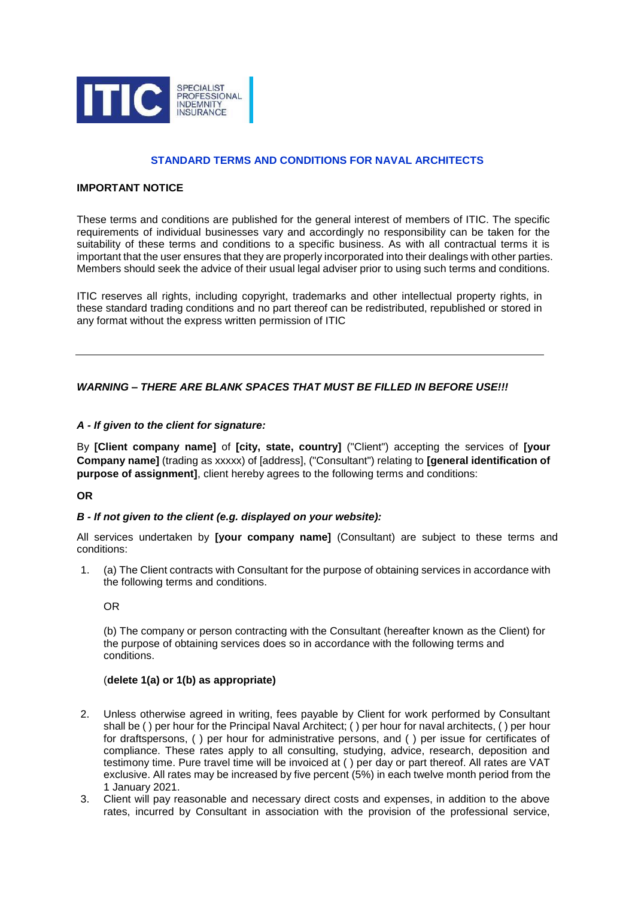

# **STANDARD TERMS AND CONDITIONS FOR NAVAL ARCHITECTS**

### **IMPORTANT NOTICE**

These terms and conditions are published for the general interest of members of ITIC. The specific requirements of individual businesses vary and accordingly no responsibility can be taken for the suitability of these terms and conditions to a specific business. As with all contractual terms it is important that the user ensures that they are properly incorporated into their dealings with other parties. Members should seek the advice of their usual legal adviser prior to using such terms and conditions.

ITIC reserves all rights, including copyright, trademarks and other intellectual property rights, in these standard trading conditions and no part thereof can be redistributed, republished or stored in any format without the express written permission of ITIC

## *WARNING – THERE ARE BLANK SPACES THAT MUST BE FILLED IN BEFORE USE!!!*

### *A - If given to the client for signature:*

By **[Client company name]** of **[city, state, country]** ("Client") accepting the services of **[your Company name]** (trading as xxxxx) of [address], ("Consultant") relating to **[general identification of purpose of assignment]**, client hereby agrees to the following terms and conditions:

### **OR**

### *B - If not given to the client (e.g. displayed on your website):*

All services undertaken by **[your company name]** (Consultant) are subject to these terms and conditions:

1. (a) The Client contracts with Consultant for the purpose of obtaining services in accordance with the following terms and conditions.

OR

(b) The company or person contracting with the Consultant (hereafter known as the Client) for the purpose of obtaining services does so in accordance with the following terms and conditions.

#### (**delete 1(a) or 1(b) as appropriate)**

- 2. Unless otherwise agreed in writing, fees payable by Client for work performed by Consultant shall be ( ) per hour for the Principal Naval Architect; ( ) per hour for naval architects, ( ) per hour for draftspersons, ( ) per hour for administrative persons, and ( ) per issue for certificates of compliance. These rates apply to all consulting, studying, advice, research, deposition and testimony time. Pure travel time will be invoiced at ( ) per day or part thereof. All rates are VAT exclusive. All rates may be increased by five percent (5%) in each twelve month period from the 1 January 2021.
- 3. Client will pay reasonable and necessary direct costs and expenses, in addition to the above rates, incurred by Consultant in association with the provision of the professional service,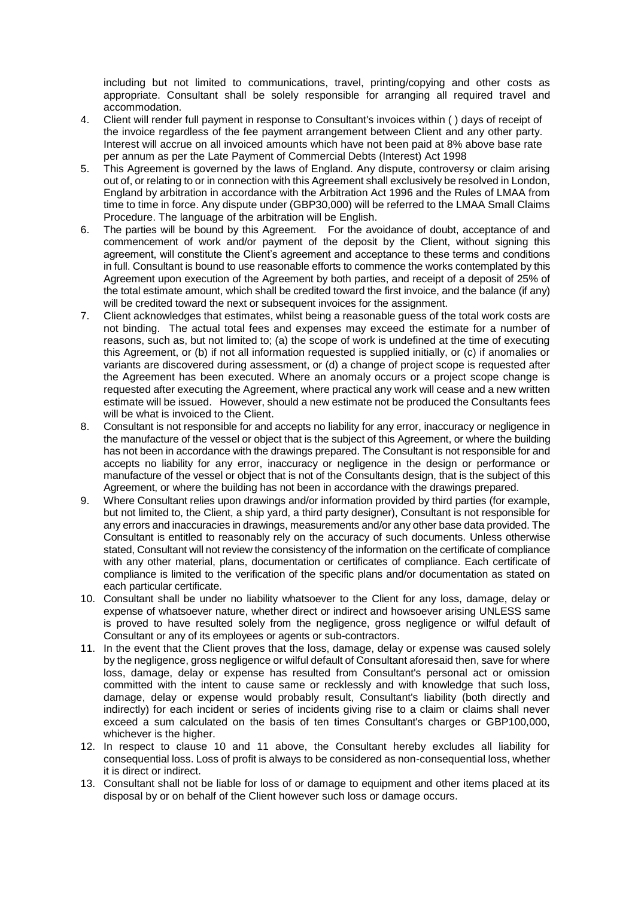including but not limited to communications, travel, printing/copying and other costs as appropriate. Consultant shall be solely responsible for arranging all required travel and accommodation.

- 4. Client will render full payment in response to Consultant's invoices within ( ) days of receipt of the invoice regardless of the fee payment arrangement between Client and any other party. Interest will accrue on all invoiced amounts which have not been paid at 8% above base rate per annum as per the Late Payment of Commercial Debts (Interest) Act 1998
- 5. This Agreement is governed by the laws of England. Any dispute, controversy or claim arising out of, or relating to or in connection with this Agreement shall exclusively be resolved in London, England by arbitration in accordance with the Arbitration Act 1996 and the Rules of LMAA from time to time in force. Any dispute under (GBP30,000) will be referred to the LMAA Small Claims Procedure. The language of the arbitration will be English.
- 6. The parties will be bound by this Agreement. For the avoidance of doubt, acceptance of and commencement of work and/or payment of the deposit by the Client, without signing this agreement, will constitute the Client's agreement and acceptance to these terms and conditions in full. Consultant is bound to use reasonable efforts to commence the works contemplated by this Agreement upon execution of the Agreement by both parties, and receipt of a deposit of 25% of the total estimate amount, which shall be credited toward the first invoice, and the balance (if any) will be credited toward the next or subsequent invoices for the assignment.
- 7. Client acknowledges that estimates, whilst being a reasonable guess of the total work costs are not binding. The actual total fees and expenses may exceed the estimate for a number of reasons, such as, but not limited to; (a) the scope of work is undefined at the time of executing this Agreement, or (b) if not all information requested is supplied initially, or (c) if anomalies or variants are discovered during assessment, or (d) a change of project scope is requested after the Agreement has been executed. Where an anomaly occurs or a project scope change is requested after executing the Agreement, where practical any work will cease and a new written estimate will be issued. However, should a new estimate not be produced the Consultants fees will be what is invoiced to the Client.
- 8. Consultant is not responsible for and accepts no liability for any error, inaccuracy or negligence in the manufacture of the vessel or object that is the subject of this Agreement, or where the building has not been in accordance with the drawings prepared. The Consultant is not responsible for and accepts no liability for any error, inaccuracy or negligence in the design or performance or manufacture of the vessel or object that is not of the Consultants design, that is the subject of this Agreement, or where the building has not been in accordance with the drawings prepared.
- 9. Where Consultant relies upon drawings and/or information provided by third parties (for example, but not limited to, the Client, a ship yard, a third party designer), Consultant is not responsible for any errors and inaccuracies in drawings, measurements and/or any other base data provided. The Consultant is entitled to reasonably rely on the accuracy of such documents. Unless otherwise stated, Consultant will not review the consistency of the information on the certificate of compliance with any other material, plans, documentation or certificates of compliance. Each certificate of compliance is limited to the verification of the specific plans and/or documentation as stated on each particular certificate.
- 10. Consultant shall be under no liability whatsoever to the Client for any loss, damage, delay or expense of whatsoever nature, whether direct or indirect and howsoever arising UNLESS same is proved to have resulted solely from the negligence, gross negligence or wilful default of Consultant or any of its employees or agents or sub-contractors.
- 11. In the event that the Client proves that the loss, damage, delay or expense was caused solely by the negligence, gross negligence or wilful default of Consultant aforesaid then, save for where loss, damage, delay or expense has resulted from Consultant's personal act or omission committed with the intent to cause same or recklessly and with knowledge that such loss, damage, delay or expense would probably result, Consultant's liability (both directly and indirectly) for each incident or series of incidents giving rise to a claim or claims shall never exceed a sum calculated on the basis of ten times Consultant's charges or GBP100,000, whichever is the higher.
- 12. In respect to clause 10 and 11 above, the Consultant hereby excludes all liability for consequential loss. Loss of profit is always to be considered as non-consequential loss, whether it is direct or indirect.
- 13. Consultant shall not be liable for loss of or damage to equipment and other items placed at its disposal by or on behalf of the Client however such loss or damage occurs.